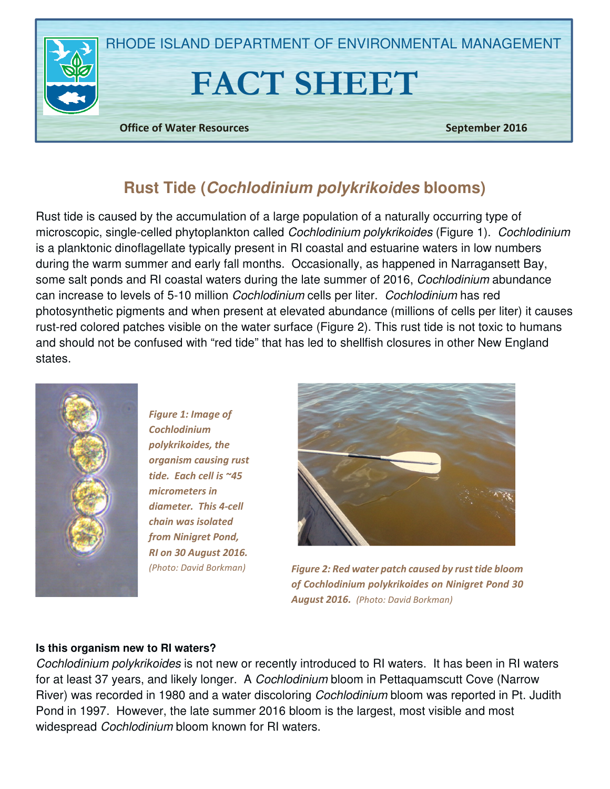

# **Rust Tide (Cochlodinium polykrikoides blooms)**

Rust tide is caused by the accumulation of a large population of a naturally occurring type of microscopic, single-celled phytoplankton called Cochlodinium polykrikoides (Figure 1). Cochlodinium is a planktonic dinoflagellate typically present in RI coastal and estuarine waters in low numbers during the warm summer and early fall months. Occasionally, as happened in Narragansett Bay, some salt ponds and RI coastal waters during the late summer of 2016, Cochlodinium abundance can increase to levels of 5-10 million Cochlodinium cells per liter. Cochlodinium has red photosynthetic pigments and when present at elevated abundance (millions of cells per liter) it causes rust-red colored patches visible on the water surface (Figure 2). This rust tide is not toxic to humans and should not be confused with "red tide" that has led to shellfish closures in other New England states.



Figure 1: Image of Cochlodinium polykrikoides, the organism causing rust tide. Each cell is ~45 micrometers in diameter. This 4-cell chain was isolated from Ninigret Pond, RI on 30 August 2016. (Photo: David Borkman)



Figure 2: Red water patch caused by rust tide bloom of Cochlodinium polykrikoides on Ninigret Pond 30 August 2016. (Photo: David Borkman)

#### **Is this organism new to RI waters?**

Cochlodinium polykrikoides is not new or recently introduced to RI waters. It has been in RI waters for at least 37 years, and likely longer. A Cochlodinium bloom in Pettaquamscutt Cove (Narrow River) was recorded in 1980 and a water discoloring Cochlodinium bloom was reported in Pt. Judith Pond in 1997. However, the late summer 2016 bloom is the largest, most visible and most widespread Cochlodinium bloom known for RI waters.